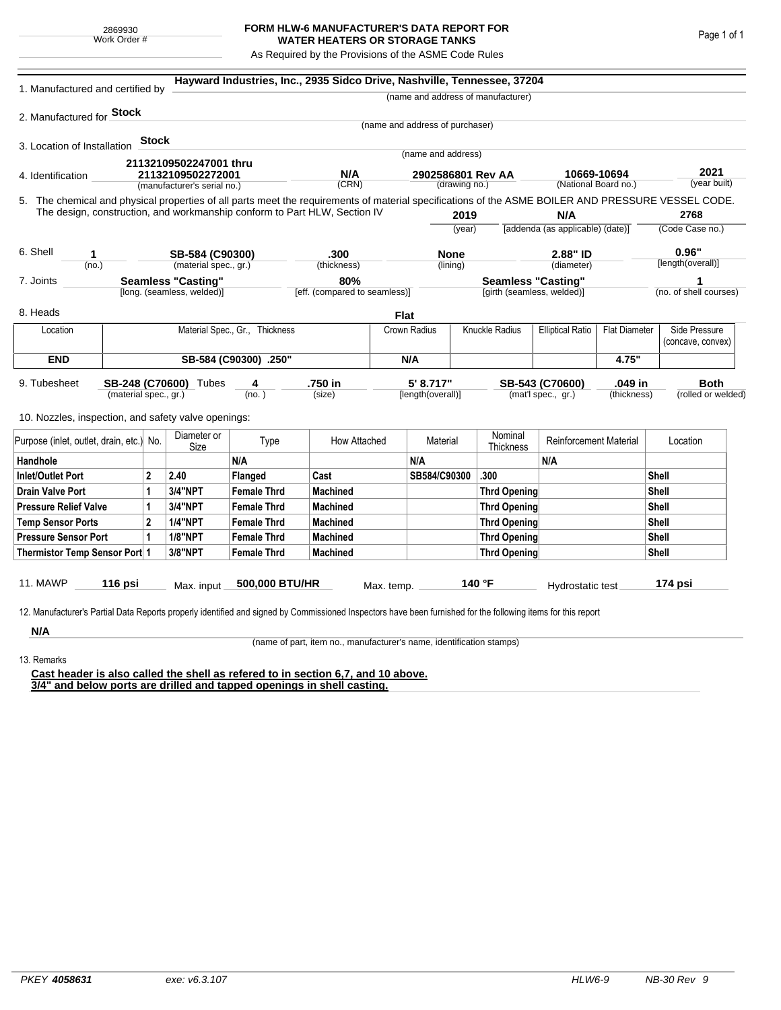## **FORM HLW-6 MANUFACTURER'S DATA REPORT FOR WATER HEATERS OR STORAGE TANKS**

As Required by the Provisions of the ASME Code Rules

| 1. Manufactured and certified by                                                                                                                              |                           |              |                             |                                | Hayward Industries, Inc., 2935 Sidco Drive, Nashville, Tennessee, 37204   |                                    |                                 |              |                                                         |                                     |                      |                      |                        |  |
|---------------------------------------------------------------------------------------------------------------------------------------------------------------|---------------------------|--------------|-----------------------------|--------------------------------|---------------------------------------------------------------------------|------------------------------------|---------------------------------|--------------|---------------------------------------------------------|-------------------------------------|----------------------|----------------------|------------------------|--|
|                                                                                                                                                               |                           |              |                             |                                |                                                                           |                                    |                                 |              | (name and address of manufacturer)                      |                                     |                      |                      |                        |  |
| 2. Manufactured for <b>Stock</b>                                                                                                                              |                           |              |                             |                                |                                                                           |                                    |                                 |              |                                                         |                                     |                      |                      |                        |  |
|                                                                                                                                                               |                           |              |                             |                                |                                                                           |                                    | (name and address of purchaser) |              |                                                         |                                     |                      |                      |                        |  |
| 3. Location of Installation                                                                                                                                   |                           | <b>Stock</b> |                             |                                |                                                                           |                                    | (name and address)              |              |                                                         |                                     |                      |                      |                        |  |
|                                                                                                                                                               |                           |              | 21132109502247001 thru      |                                | N/A                                                                       |                                    |                                 |              |                                                         |                                     |                      |                      |                        |  |
| 21132109502272001<br>4. Identification                                                                                                                        |                           |              |                             |                                |                                                                           | 2902586801 Rev AA<br>(drawing no.) |                                 |              |                                                         | 10669-10694<br>(National Board no.) |                      | 2021<br>(year built) |                        |  |
|                                                                                                                                                               |                           |              | (manufacturer's serial no.) |                                | (CRN)                                                                     |                                    |                                 |              |                                                         |                                     |                      |                      |                        |  |
| 5. The chemical and physical properties of all parts meet the requirements of material specifications of the ASME BOILER AND PRESSURE VESSEL CODE.            |                           |              |                             |                                | The design, construction, and workmanship conform to Part HLW, Section IV |                                    |                                 | 2019         |                                                         | N/A                                 |                      |                      | 2768                   |  |
|                                                                                                                                                               |                           |              |                             |                                |                                                                           |                                    | (year)                          |              | [addenda (as applicable) (date)]                        |                                     |                      |                      | (Code Case no.)        |  |
|                                                                                                                                                               |                           |              |                             |                                |                                                                           |                                    |                                 |              |                                                         |                                     |                      |                      |                        |  |
| 6. Shell<br>1                                                                                                                                                 |                           |              | SB-584 (C90300)             |                                | .300                                                                      |                                    | <b>None</b>                     |              | 2.88" ID                                                |                                     |                      |                      | 0.96"                  |  |
| (no.)                                                                                                                                                         |                           |              | (material spec., gr.)       |                                | (thickness)                                                               |                                    |                                 | (lining)     |                                                         | (diameter)                          |                      |                      | [length(overall)]      |  |
| 7. Joints                                                                                                                                                     | <b>Seamless "Casting"</b> |              |                             |                                | 80%                                                                       | [eff. (compared to seamless)]      |                                 |              | <b>Seamless "Casting"</b><br>[girth (seamless, welded)] |                                     |                      |                      |                        |  |
|                                                                                                                                                               |                           |              | [long. (seamless, welded)]  |                                |                                                                           |                                    |                                 |              |                                                         |                                     |                      |                      | (no. of shell courses) |  |
| 8. Heads                                                                                                                                                      |                           |              |                             |                                |                                                                           | <b>Flat</b>                        |                                 |              |                                                         |                                     |                      |                      |                        |  |
| Location                                                                                                                                                      |                           |              |                             | Material Spec., Gr., Thickness |                                                                           |                                    | Crown Radius                    |              | Knuckle Radius<br><b>Elliptical Ratio</b>               |                                     | <b>Flat Diameter</b> | Side Pressure        |                        |  |
|                                                                                                                                                               |                           |              |                             |                                |                                                                           |                                    |                                 |              |                                                         |                                     |                      |                      | (concave, convex)      |  |
| <b>END</b>                                                                                                                                                    | SB-584 (C90300) .250"     |              |                             |                                |                                                                           |                                    | N/A                             |              |                                                         |                                     | 4.75"                |                      |                        |  |
| 9. Tubesheet                                                                                                                                                  |                           |              | SB-248 (C70600) Tubes       | 4                              | .750 in                                                                   |                                    | 5' 8.717"                       |              |                                                         | SB-543 (C70600)                     | .049 in              |                      | <b>Both</b>            |  |
| (material spec., gr.)                                                                                                                                         |                           |              |                             | (no. )                         | (size)                                                                    |                                    | [length(overall)]               |              | (mat'l spec., gr.)<br>(thickness)                       |                                     |                      | (rolled or welded)   |                        |  |
| 10. Nozzles, inspection, and safety valve openings:                                                                                                           |                           |              |                             |                                |                                                                           |                                    |                                 |              |                                                         |                                     |                      |                      |                        |  |
|                                                                                                                                                               |                           |              |                             |                                |                                                                           |                                    |                                 |              |                                                         |                                     |                      |                      |                        |  |
| Purpose (inlet, outlet, drain, etc.) No.                                                                                                                      |                           |              | Diameter or<br>Size         | Type                           | How Attached                                                              |                                    | Material                        |              | Nominal<br>Thickness                                    | <b>Reinforcement Material</b>       |                      |                      | Location               |  |
| Handhole                                                                                                                                                      |                           |              |                             | N/A                            |                                                                           |                                    | N/A                             |              |                                                         | N/A                                 |                      |                      |                        |  |
| <b>Inlet/Outlet Port</b><br>2                                                                                                                                 |                           |              | 2.40                        | Flanged                        | Cast                                                                      |                                    | SB584/C90300                    |              | .300                                                    |                                     |                      | Shell                |                        |  |
| <b>Drain Valve Port</b><br>1                                                                                                                                  |                           |              | 3/4"NPT                     | <b>Female Thrd</b>             | <b>Machined</b>                                                           |                                    |                                 |              | <b>Thrd Opening</b>                                     |                                     |                      | Shell                |                        |  |
| <b>Pressure Relief Valve</b><br>1                                                                                                                             |                           |              | 3/4"NPT                     | <b>Female Thrd</b>             | <b>Machined</b>                                                           |                                    |                                 |              | <b>Thrd Opening</b>                                     |                                     |                      | Shell                |                        |  |
| $\overline{2}$<br><b>Temp Sensor Ports</b>                                                                                                                    |                           |              | <b>1/4"NPT</b>              | <b>Female Thrd</b>             | <b>Machined</b>                                                           |                                    |                                 |              | <b>Thrd Opening</b>                                     |                                     | Shell                |                      |                        |  |
| <b>Pressure Sensor Port</b><br>1                                                                                                                              |                           |              | <b>1/8"NPT</b>              | <b>Female Thrd</b>             | <b>Machined</b>                                                           |                                    |                                 | Thrd Opening |                                                         |                                     |                      | Shell                |                        |  |
| Thermistor Temp Sensor Port 1                                                                                                                                 |                           |              | 3/8"NPT                     | <b>Female Thrd</b>             | <b>Machined</b>                                                           |                                    |                                 | Thrd Opening |                                                         |                                     |                      |                      | Shell                  |  |
|                                                                                                                                                               |                           |              |                             |                                |                                                                           |                                    |                                 |              |                                                         |                                     |                      |                      |                        |  |
| 11. MAWP                                                                                                                                                      | 116 psi                   |              | Max. input                  | 500,000 BTU/HR                 |                                                                           | Max. temp.                         |                                 |              | 140 °F                                                  | Hydrostatic test                    |                      |                      | 174 psi                |  |
|                                                                                                                                                               |                           |              |                             |                                |                                                                           |                                    |                                 |              |                                                         |                                     |                      |                      |                        |  |
| 12. Manufacturer's Partial Data Reports properly identified and signed by Commissioned Inspectors have been furnished for the following items for this report |                           |              |                             |                                |                                                                           |                                    |                                 |              |                                                         |                                     |                      |                      |                        |  |
| N/A                                                                                                                                                           |                           |              |                             |                                |                                                                           |                                    |                                 |              |                                                         |                                     |                      |                      |                        |  |

(name of part, item no., manufacturer's name, identification stamps)

13. Remarks

**Cast header is also called the shell as refered to in section 6,7, and 10 above. 3/4" and below ports are drilled and tapped openings in shell casting.**